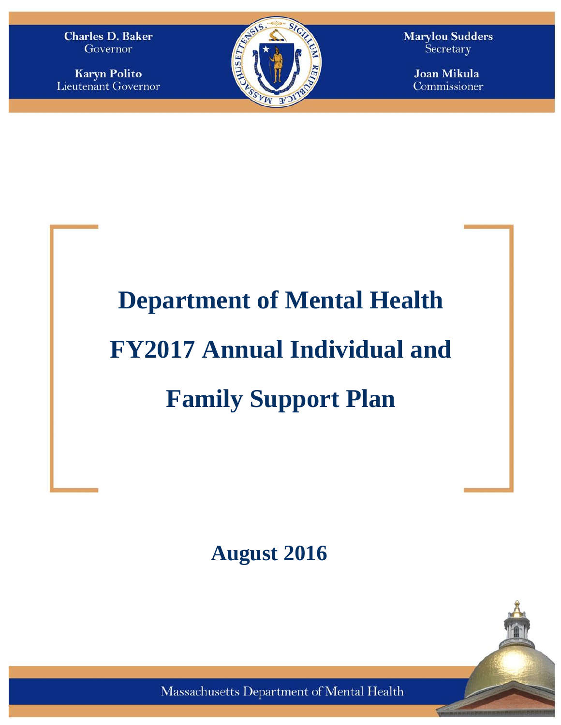**Charles D. Baker** Governor

**Karyn Polito Lieutenant Governor** 



**Marylou Sudders** Secretary

> **Joan Mikula** Commissioner

# **Department of Mental Health FY2017 Annual Individual and Family Support Plan**

**August 2016**

Massachusetts Department of Mental Health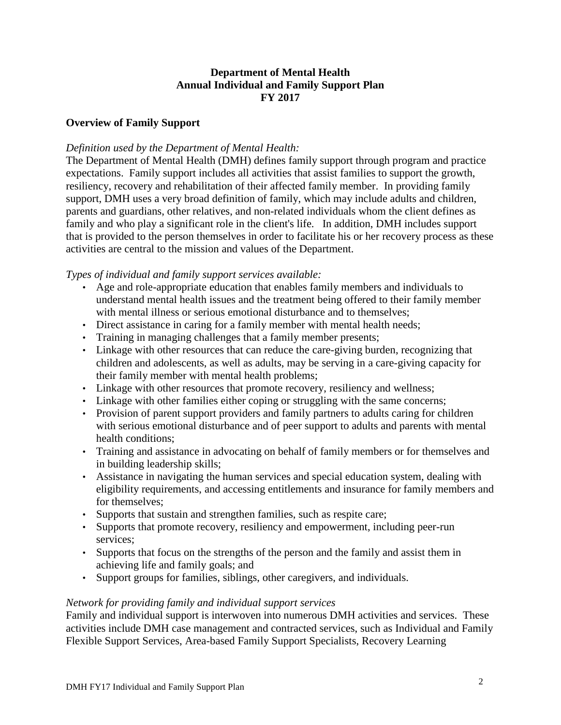#### **Department of Mental Health Annual Individual and Family Support Plan FY 2017**

#### **Overview of Family Support**

#### *Definition used by the Department of Mental Health:*

The Department of Mental Health (DMH) defines family support through program and practice expectations. Family support includes all activities that assist families to support the growth, resiliency, recovery and rehabilitation of their affected family member. In providing family support, DMH uses a very broad definition of family, which may include adults and children, parents and guardians, other relatives, and non-related individuals whom the client defines as family and who play a significant role in the client's life. In addition, DMH includes support that is provided to the person themselves in order to facilitate his or her recovery process as these activities are central to the mission and values of the Department.

#### *Types of individual and family support services available:*

- Age and role-appropriate education that enables family members and individuals to understand mental health issues and the treatment being offered to their family member with mental illness or serious emotional disturbance and to themselves:
- Direct assistance in caring for a family member with mental health needs;
- Training in managing challenges that a family member presents;
- Linkage with other resources that can reduce the care-giving burden, recognizing that children and adolescents, as well as adults, may be serving in a care-giving capacity for their family member with mental health problems;
- Linkage with other resources that promote recovery, resiliency and wellness;
- Linkage with other families either coping or struggling with the same concerns;
- Provision of parent support providers and family partners to adults caring for children with serious emotional disturbance and of peer support to adults and parents with mental health conditions;
- Training and assistance in advocating on behalf of family members or for themselves and in building leadership skills;
- Assistance in navigating the human services and special education system, dealing with eligibility requirements, and accessing entitlements and insurance for family members and for themselves;
- Supports that sustain and strengthen families, such as respite care;
- Supports that promote recovery, resiliency and empowerment, including peer-run services;
- Supports that focus on the strengths of the person and the family and assist them in achieving life and family goals; and
- Support groups for families, siblings, other caregivers, and individuals.

#### *Network for providing family and individual support services*

Family and individual support is interwoven into numerous DMH activities and services. These activities include DMH case management and contracted services, such as Individual and Family Flexible Support Services, Area-based Family Support Specialists, Recovery Learning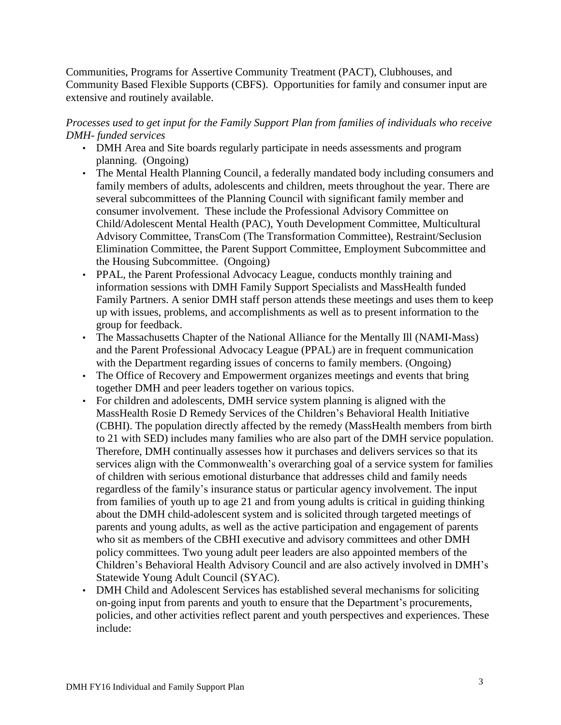Communities, Programs for Assertive Community Treatment (PACT), Clubhouses, and Community Based Flexible Supports (CBFS). Opportunities for family and consumer input are extensive and routinely available.

# *Processes used to get input for the Family Support Plan from families of individuals who receive DMH- funded services*

- DMH Area and Site boards regularly participate in needs assessments and program planning. (Ongoing)
- The Mental Health Planning Council, a federally mandated body including consumers and family members of adults, adolescents and children, meets throughout the year. There are several subcommittees of the Planning Council with significant family member and consumer involvement. These include the Professional Advisory Committee on Child/Adolescent Mental Health (PAC), Youth Development Committee, Multicultural Advisory Committee, TransCom (The Transformation Committee), Restraint/Seclusion Elimination Committee, the Parent Support Committee, Employment Subcommittee and the Housing Subcommittee. (Ongoing)
- PPAL, the Parent Professional Advocacy League, conducts monthly training and information sessions with DMH Family Support Specialists and MassHealth funded Family Partners. A senior DMH staff person attends these meetings and uses them to keep up with issues, problems, and accomplishments as well as to present information to the group for feedback.
- The Massachusetts Chapter of the National Alliance for the Mentally Ill (NAMI-Mass) and the Parent Professional Advocacy League (PPAL) are in frequent communication with the Department regarding issues of concerns to family members. (Ongoing)
- The Office of Recovery and Empowerment organizes meetings and events that bring together DMH and peer leaders together on various topics.
- For children and adolescents, DMH service system planning is aligned with the MassHealth Rosie D Remedy Services of the Children's Behavioral Health Initiative (CBHI). The population directly affected by the remedy (MassHealth members from birth to 21 with SED) includes many families who are also part of the DMH service population. Therefore, DMH continually assesses how it purchases and delivers services so that its services align with the Commonwealth's overarching goal of a service system for families of children with serious emotional disturbance that addresses child and family needs regardless of the family's insurance status or particular agency involvement. The input from families of youth up to age 21 and from young adults is critical in guiding thinking about the DMH child-adolescent system and is solicited through targeted meetings of parents and young adults, as well as the active participation and engagement of parents who sit as members of the CBHI executive and advisory committees and other DMH policy committees. Two young adult peer leaders are also appointed members of the Children's Behavioral Health Advisory Council and are also actively involved in DMH's Statewide Young Adult Council (SYAC).
- DMH Child and Adolescent Services has established several mechanisms for soliciting on-going input from parents and youth to ensure that the Department's procurements, policies, and other activities reflect parent and youth perspectives and experiences. These include: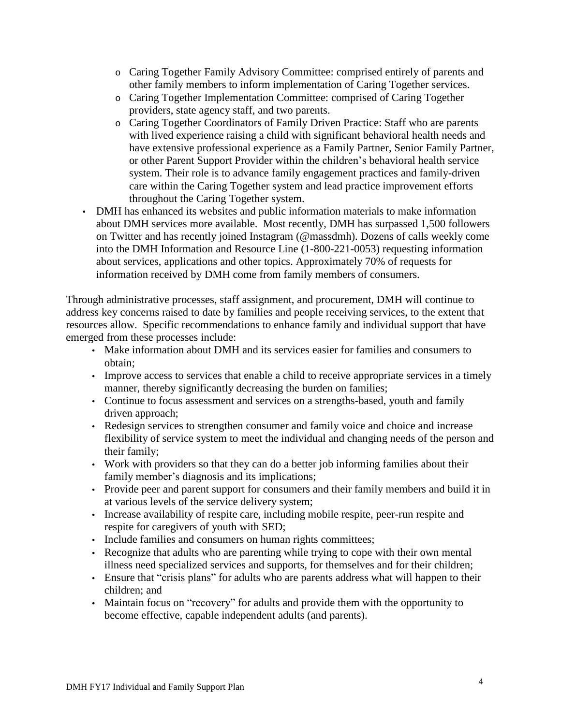- o Caring Together Family Advisory Committee: comprised entirely of parents and other family members to inform implementation of Caring Together services.
- o Caring Together Implementation Committee: comprised of Caring Together providers, state agency staff, and two parents.
- o Caring Together Coordinators of Family Driven Practice: Staff who are parents with lived experience raising a child with significant behavioral health needs and have extensive professional experience as a Family Partner, Senior Family Partner, or other Parent Support Provider within the children's behavioral health service system. Their role is to advance family engagement practices and family-driven care within the Caring Together system and lead practice improvement efforts throughout the Caring Together system.
- DMH has enhanced its websites and public information materials to make information about DMH services more available. Most recently, DMH has surpassed 1,500 followers on Twitter and has recently joined Instagram (@massdmh). Dozens of calls weekly come into the DMH Information and Resource Line (1-800-221-0053) requesting information about services, applications and other topics. Approximately 70% of requests for information received by DMH come from family members of consumers.

Through administrative processes, staff assignment, and procurement, DMH will continue to address key concerns raised to date by families and people receiving services, to the extent that resources allow. Specific recommendations to enhance family and individual support that have emerged from these processes include:

- Make information about DMH and its services easier for families and consumers to obtain;
- Improve access to services that enable a child to receive appropriate services in a timely manner, thereby significantly decreasing the burden on families;
- Continue to focus assessment and services on a strengths-based, youth and family driven approach;
- Redesign services to strengthen consumer and family voice and choice and increase flexibility of service system to meet the individual and changing needs of the person and their family;
- Work with providers so that they can do a better job informing families about their family member's diagnosis and its implications;
- Provide peer and parent support for consumers and their family members and build it in at various levels of the service delivery system;
- Increase availability of respite care, including mobile respite, peer-run respite and respite for caregivers of youth with SED;
- Include families and consumers on human rights committees;
- Recognize that adults who are parenting while trying to cope with their own mental illness need specialized services and supports, for themselves and for their children;
- Ensure that "crisis plans" for adults who are parents address what will happen to their children; and
- Maintain focus on "recovery" for adults and provide them with the opportunity to become effective, capable independent adults (and parents).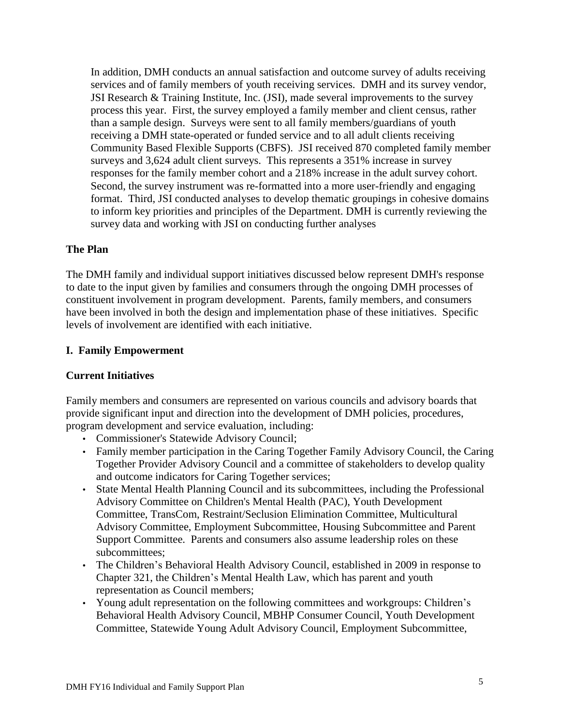In addition, DMH conducts an annual satisfaction and outcome survey of adults receiving services and of family members of youth receiving services. DMH and its survey vendor, JSI Research & Training Institute, Inc. (JSI), made several improvements to the survey process this year. First, the survey employed a family member and client census, rather than a sample design. Surveys were sent to all family members/guardians of youth receiving a DMH state-operated or funded service and to all adult clients receiving Community Based Flexible Supports (CBFS). JSI received 870 completed family member surveys and 3,624 adult client surveys. This represents a 351% increase in survey responses for the family member cohort and a 218% increase in the adult survey cohort. Second, the survey instrument was re-formatted into a more user-friendly and engaging format. Third, JSI conducted analyses to develop thematic groupings in cohesive domains to inform key priorities and principles of the Department. DMH is currently reviewing the survey data and working with JSI on conducting further analyses

#### **The Plan**

The DMH family and individual support initiatives discussed below represent DMH's response to date to the input given by families and consumers through the ongoing DMH processes of constituent involvement in program development. Parents, family members, and consumers have been involved in both the design and implementation phase of these initiatives. Specific levels of involvement are identified with each initiative.

#### **I. Family Empowerment**

# **Current Initiatives**

Family members and consumers are represented on various councils and advisory boards that provide significant input and direction into the development of DMH policies, procedures, program development and service evaluation, including:

- Commissioner's Statewide Advisory Council;
- Family member participation in the Caring Together Family Advisory Council, the Caring Together Provider Advisory Council and a committee of stakeholders to develop quality and outcome indicators for Caring Together services;
- State Mental Health Planning Council and its subcommittees, including the Professional Advisory Committee on Children's Mental Health (PAC), Youth Development Committee, TransCom, Restraint/Seclusion Elimination Committee, Multicultural Advisory Committee, Employment Subcommittee, Housing Subcommittee and Parent Support Committee. Parents and consumers also assume leadership roles on these subcommittees;
- The Children's Behavioral Health Advisory Council, established in 2009 in response to Chapter 321, the Children's Mental Health Law, which has parent and youth representation as Council members;
- Young adult representation on the following committees and workgroups: Children's Behavioral Health Advisory Council, MBHP Consumer Council, Youth Development Committee, Statewide Young Adult Advisory Council, Employment Subcommittee,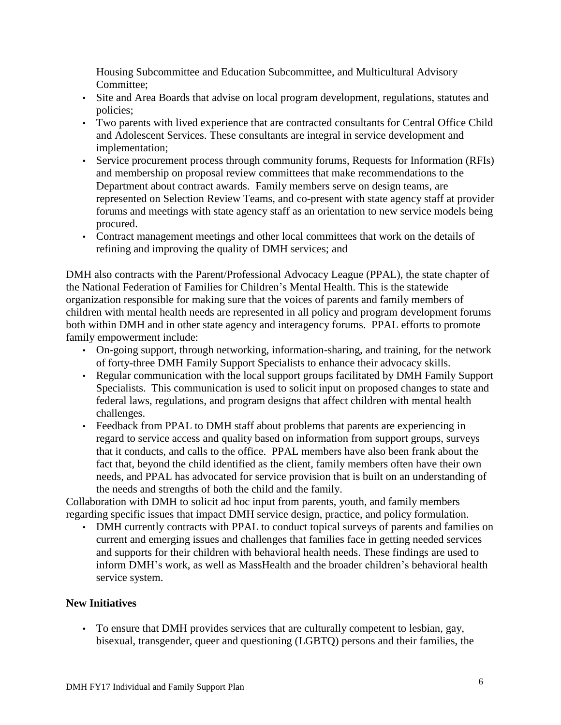Housing Subcommittee and Education Subcommittee, and Multicultural Advisory Committee;

- Site and Area Boards that advise on local program development, regulations, statutes and policies;
- Two parents with lived experience that are contracted consultants for Central Office Child and Adolescent Services. These consultants are integral in service development and implementation;
- Service procurement process through community forums, Requests for Information (RFIs) and membership on proposal review committees that make recommendations to the Department about contract awards. Family members serve on design teams, are represented on Selection Review Teams, and co-present with state agency staff at provider forums and meetings with state agency staff as an orientation to new service models being procured.
- Contract management meetings and other local committees that work on the details of refining and improving the quality of DMH services; and

DMH also contracts with the Parent/Professional Advocacy League (PPAL), the state chapter of the National Federation of Families for Children's Mental Health. This is the statewide organization responsible for making sure that the voices of parents and family members of children with mental health needs are represented in all policy and program development forums both within DMH and in other state agency and interagency forums. PPAL efforts to promote family empowerment include:

- On-going support, through networking, information-sharing, and training, for the network of forty-three DMH Family Support Specialists to enhance their advocacy skills.
- Regular communication with the local support groups facilitated by DMH Family Support Specialists. This communication is used to solicit input on proposed changes to state and federal laws, regulations, and program designs that affect children with mental health challenges.
- Feedback from PPAL to DMH staff about problems that parents are experiencing in regard to service access and quality based on information from support groups, surveys that it conducts, and calls to the office. PPAL members have also been frank about the fact that, beyond the child identified as the client, family members often have their own needs, and PPAL has advocated for service provision that is built on an understanding of the needs and strengths of both the child and the family.

Collaboration with DMH to solicit ad hoc input from parents, youth, and family members regarding specific issues that impact DMH service design, practice, and policy formulation.

• DMH currently contracts with PPAL to conduct topical surveys of parents and families on current and emerging issues and challenges that families face in getting needed services and supports for their children with behavioral health needs. These findings are used to inform DMH's work, as well as MassHealth and the broader children's behavioral health service system.

# **New Initiatives**

• To ensure that DMH provides services that are culturally competent to lesbian, gay, bisexual, transgender, queer and questioning (LGBTQ) persons and their families, the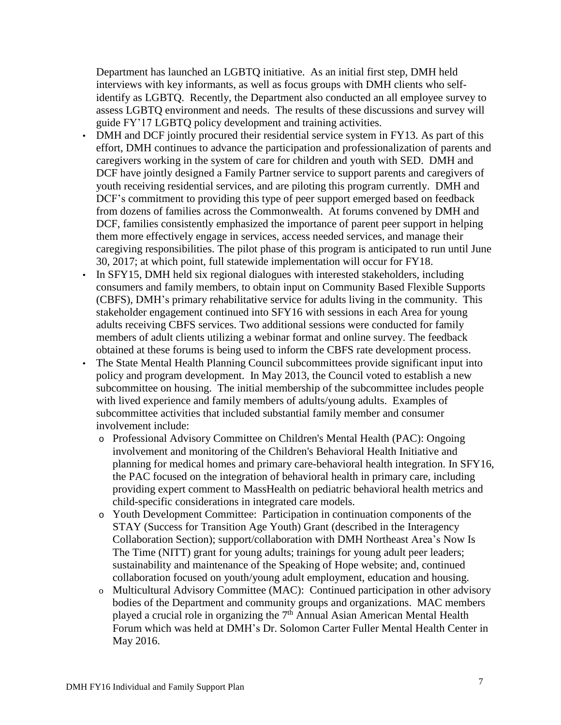Department has launched an LGBTQ initiative. As an initial first step, DMH held interviews with key informants, as well as focus groups with DMH clients who selfidentify as LGBTQ. Recently, the Department also conducted an all employee survey to assess LGBTQ environment and needs. The results of these discussions and survey will guide FY'17 LGBTQ policy development and training activities.

- DMH and DCF jointly procured their residential service system in FY13. As part of this effort, DMH continues to advance the participation and professionalization of parents and caregivers working in the system of care for children and youth with SED. DMH and DCF have jointly designed a Family Partner service to support parents and caregivers of youth receiving residential services, and are piloting this program currently. DMH and DCF's commitment to providing this type of peer support emerged based on feedback from dozens of families across the Commonwealth. At forums convened by DMH and DCF, families consistently emphasized the importance of parent peer support in helping them more effectively engage in services, access needed services, and manage their caregiving responsibilities. The pilot phase of this program is anticipated to run until June 30, 2017; at which point, full statewide implementation will occur for FY18.
- In SFY15, DMH held six regional dialogues with interested stakeholders, including consumers and family members, to obtain input on Community Based Flexible Supports (CBFS), DMH's primary rehabilitative service for adults living in the community. This stakeholder engagement continued into SFY16 with sessions in each Area for young adults receiving CBFS services. Two additional sessions were conducted for family members of adult clients utilizing a webinar format and online survey. The feedback obtained at these forums is being used to inform the CBFS rate development process. • The State Mental Health Planning Council subcommittees provide significant input into policy and program development. In May 2013, the Council voted to establish a new subcommittee on housing. The initial membership of the subcommittee includes people with lived experience and family members of adults/young adults. Examples of subcommittee activities that included substantial family member and consumer involvement include:
	- o Professional Advisory Committee on Children's Mental Health (PAC): Ongoing involvement and monitoring of the Children's Behavioral Health Initiative and planning for medical homes and primary care-behavioral health integration. In SFY16, the PAC focused on the integration of behavioral health in primary care, including providing expert comment to MassHealth on pediatric behavioral health metrics and child-specific considerations in integrated care models.
	- o Youth Development Committee: Participation in continuation components of the STAY (Success for Transition Age Youth) Grant (described in the Interagency Collaboration Section); support/collaboration with DMH Northeast Area's Now Is The Time (NITT) grant for young adults; trainings for young adult peer leaders; sustainability and maintenance of the Speaking of Hope website; and, continued collaboration focused on youth/young adult employment, education and housing.
	- o Multicultural Advisory Committee (MAC): Continued participation in other advisory bodies of the Department and community groups and organizations. MAC members played a crucial role in organizing the 7<sup>th</sup> Annual Asian American Mental Health Forum which was held at DMH's Dr. Solomon Carter Fuller Mental Health Center in May 2016.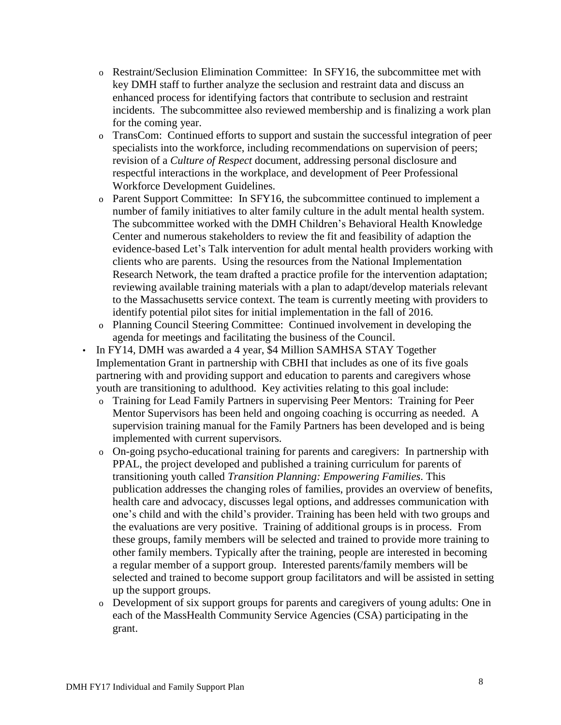- o Restraint/Seclusion Elimination Committee: In SFY16, the subcommittee met with key DMH staff to further analyze the seclusion and restraint data and discuss an enhanced process for identifying factors that contribute to seclusion and restraint incidents. The subcommittee also reviewed membership and is finalizing a work plan for the coming year.
- o TransCom: Continued efforts to support and sustain the successful integration of peer specialists into the workforce, including recommendations on supervision of peers; revision of a *Culture of Respect* document, addressing personal disclosure and respectful interactions in the workplace, and development of Peer Professional Workforce Development Guidelines.
- o Parent Support Committee: In SFY16, the subcommittee continued to implement a number of family initiatives to alter family culture in the adult mental health system. The subcommittee worked with the DMH Children's Behavioral Health Knowledge Center and numerous stakeholders to review the fit and feasibility of adaption the evidence-based Let's Talk intervention for adult mental health providers working with clients who are parents. Using the resources from the National Implementation Research Network, the team drafted a practice profile for the intervention adaptation; reviewing available training materials with a plan to adapt/develop materials relevant to the Massachusetts service context. The team is currently meeting with providers to identify potential pilot sites for initial implementation in the fall of 2016.
- o Planning Council Steering Committee: Continued involvement in developing the agenda for meetings and facilitating the business of the Council.
- In FY14, DMH was awarded a 4 year, \$4 Million SAMHSA STAY Together Implementation Grant in partnership with CBHI that includes as one of its five goals partnering with and providing support and education to parents and caregivers whose youth are transitioning to adulthood. Key activities relating to this goal include:
	- o Training for Lead Family Partners in supervising Peer Mentors: Training for Peer Mentor Supervisors has been held and ongoing coaching is occurring as needed. A supervision training manual for the Family Partners has been developed and is being implemented with current supervisors.
	- o On-going psycho-educational training for parents and caregivers: In partnership with PPAL, the project developed and published a training curriculum for parents of transitioning youth called *Transition Planning: Empowering Families*. This publication addresses the changing roles of families, provides an overview of benefits, health care and advocacy, discusses legal options, and addresses communication with one's child and with the child's provider. Training has been held with two groups and the evaluations are very positive. Training of additional groups is in process. From these groups, family members will be selected and trained to provide more training to other family members. Typically after the training, people are interested in becoming a regular member of a support group. Interested parents/family members will be selected and trained to become support group facilitators and will be assisted in setting up the support groups.
	- o Development of six support groups for parents and caregivers of young adults: One in each of the MassHealth Community Service Agencies (CSA) participating in the grant.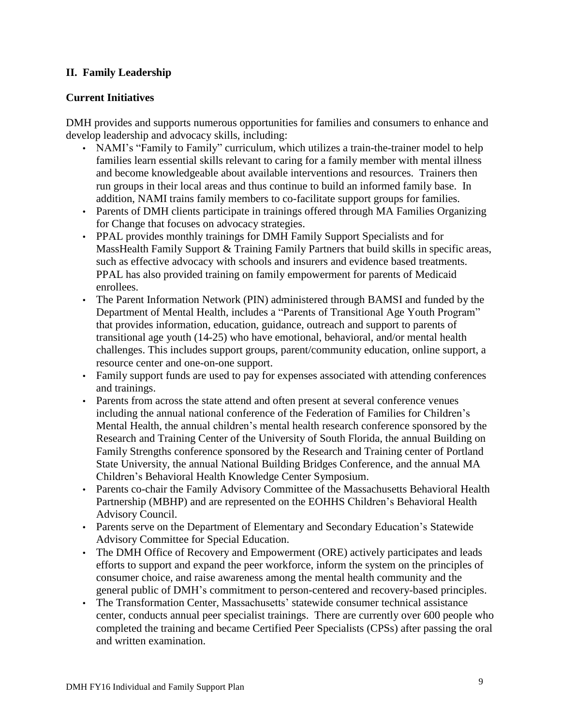# **II. Family Leadership**

# **Current Initiatives**

DMH provides and supports numerous opportunities for families and consumers to enhance and develop leadership and advocacy skills, including:

- NAMI's "Family to Family" curriculum, which utilizes a train-the-trainer model to help families learn essential skills relevant to caring for a family member with mental illness and become knowledgeable about available interventions and resources. Trainers then run groups in their local areas and thus continue to build an informed family base. In addition, NAMI trains family members to co-facilitate support groups for families.
- Parents of DMH clients participate in trainings offered through MA Families Organizing for Change that focuses on advocacy strategies.
- PPAL provides monthly trainings for DMH Family Support Specialists and for MassHealth Family Support & Training Family Partners that build skills in specific areas, such as effective advocacy with schools and insurers and evidence based treatments. PPAL has also provided training on family empowerment for parents of Medicaid enrollees.
- The Parent Information Network (PIN) administered through BAMSI and funded by the Department of Mental Health, includes a "Parents of Transitional Age Youth Program" that provides information, education, guidance, outreach and support to parents of transitional age youth (14-25) who have emotional, behavioral, and/or mental health challenges. This includes support groups, parent/community education, online support, a resource center and one-on-one support.
- Family support funds are used to pay for expenses associated with attending conferences and trainings.
- Parents from across the state attend and often present at several conference venues including the annual national conference of the Federation of Families for Children's Mental Health, the annual children's mental health research conference sponsored by the Research and Training Center of the University of South Florida, the annual Building on Family Strengths conference sponsored by the Research and Training center of Portland State University, the annual National Building Bridges Conference, and the annual MA Children's Behavioral Health Knowledge Center Symposium.
- Parents co-chair the Family Advisory Committee of the Massachusetts Behavioral Health Partnership (MBHP) and are represented on the EOHHS Children's Behavioral Health Advisory Council.
- Parents serve on the Department of Elementary and Secondary Education's Statewide Advisory Committee for Special Education.
- The DMH Office of Recovery and Empowerment (ORE) actively participates and leads efforts to support and expand the peer workforce, inform the system on the principles of consumer choice, and raise awareness among the mental health community and the general public of DMH's commitment to person-centered and recovery-based principles.
- The Transformation Center, Massachusetts' statewide consumer technical assistance center, conducts annual peer specialist trainings. There are currently over 600 people who completed the training and became Certified Peer Specialists (CPSs) after passing the oral and written examination.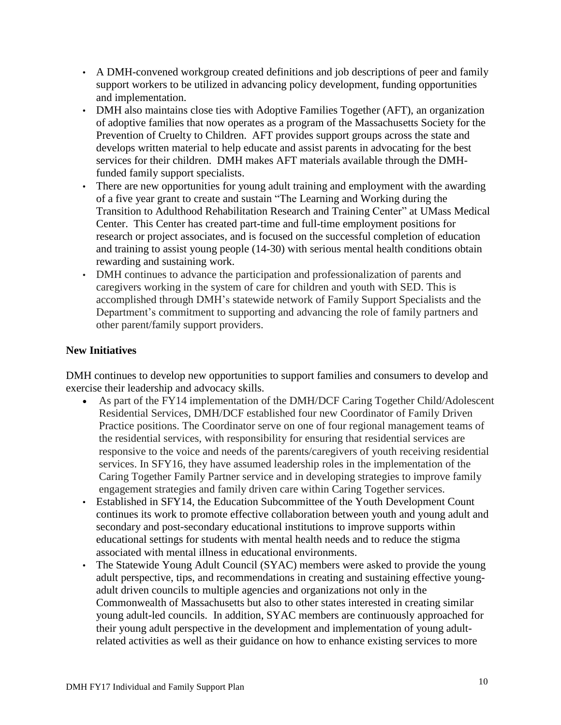- A DMH-convened workgroup created definitions and job descriptions of peer and family support workers to be utilized in advancing policy development, funding opportunities and implementation.
- DMH also maintains close ties with Adoptive Families Together (AFT), an organization of adoptive families that now operates as a program of the Massachusetts Society for the Prevention of Cruelty to Children. AFT provides support groups across the state and develops written material to help educate and assist parents in advocating for the best services for their children. DMH makes AFT materials available through the DMHfunded family support specialists.
- There are new opportunities for young adult training and employment with the awarding of a five year grant to create and sustain "The Learning and Working during the Transition to Adulthood Rehabilitation Research and Training Center" at UMass Medical Center. This Center has created part-time and full-time employment positions for research or project associates, and is focused on the successful completion of education and training to assist young people (14-30) with serious mental health conditions obtain rewarding and sustaining work.
- DMH continues to advance the participation and professionalization of parents and caregivers working in the system of care for children and youth with SED. This is accomplished through DMH's statewide network of Family Support Specialists and the Department's commitment to supporting and advancing the role of family partners and other parent/family support providers.

# **New Initiatives**

DMH continues to develop new opportunities to support families and consumers to develop and exercise their leadership and advocacy skills.

- As part of the FY14 implementation of the DMH/DCF Caring Together Child/Adolescent Residential Services, DMH/DCF established four new Coordinator of Family Driven Practice positions. The Coordinator serve on one of four regional management teams of the residential services, with responsibility for ensuring that residential services are responsive to the voice and needs of the parents/caregivers of youth receiving residential services. In SFY16, they have assumed leadership roles in the implementation of the Caring Together Family Partner service and in developing strategies to improve family engagement strategies and family driven care within Caring Together services.
- Established in SFY14, the Education Subcommittee of the Youth Development Count continues its work to promote effective collaboration between youth and young adult and secondary and post-secondary educational institutions to improve supports within educational settings for students with mental health needs and to reduce the stigma associated with mental illness in educational environments.
- The Statewide Young Adult Council (SYAC) members were asked to provide the young adult perspective, tips, and recommendations in creating and sustaining effective youngadult driven councils to multiple agencies and organizations not only in the Commonwealth of Massachusetts but also to other states interested in creating similar young adult-led councils. In addition, SYAC members are continuously approached for their young adult perspective in the development and implementation of young adultrelated activities as well as their guidance on how to enhance existing services to more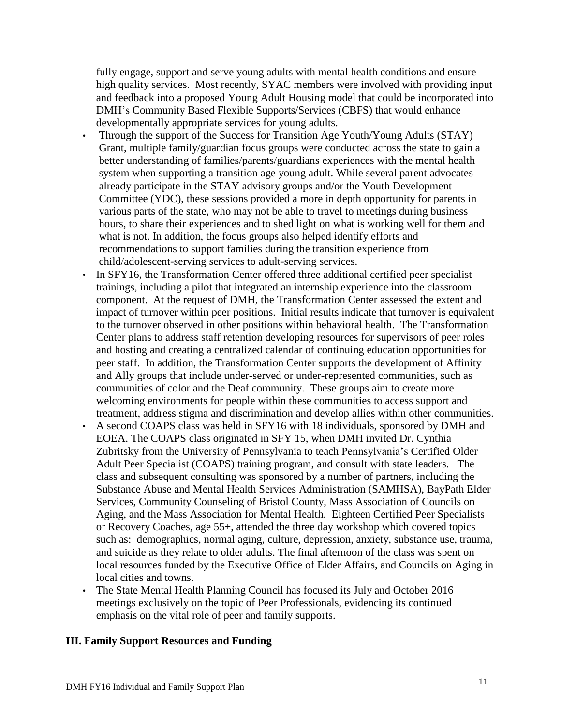fully engage, support and serve young adults with mental health conditions and ensure high quality services. Most recently, SYAC members were involved with providing input and feedback into a proposed Young Adult Housing model that could be incorporated into DMH's Community Based Flexible Supports/Services (CBFS) that would enhance developmentally appropriate services for young adults.

- Through the support of the Success for Transition Age Youth/Young Adults (STAY) Grant, multiple family/guardian focus groups were conducted across the state to gain a better understanding of families/parents/guardians experiences with the mental health system when supporting a transition age young adult. While several parent advocates already participate in the STAY advisory groups and/or the Youth Development Committee (YDC), these sessions provided a more in depth opportunity for parents in various parts of the state, who may not be able to travel to meetings during business hours, to share their experiences and to shed light on what is working well for them and what is not. In addition, the focus groups also helped identify efforts and recommendations to support families during the transition experience from child/adolescent-serving services to adult-serving services.
- In SFY16, the Transformation Center offered three additional certified peer specialist trainings, including a pilot that integrated an internship experience into the classroom component. At the request of DMH, the Transformation Center assessed the extent and impact of turnover within peer positions. Initial results indicate that turnover is equivalent to the turnover observed in other positions within behavioral health. The Transformation Center plans to address staff retention developing resources for supervisors of peer roles and hosting and creating a centralized calendar of continuing education opportunities for peer staff. In addition, the Transformation Center supports the development of Affinity and Ally groups that include under-served or under-represented communities, such as communities of color and the Deaf community. These groups aim to create more welcoming environments for people within these communities to access support and treatment, address stigma and discrimination and develop allies within other communities.
- A second COAPS class was held in SFY16 with 18 individuals, sponsored by DMH and EOEA. The COAPS class originated in SFY 15, when DMH invited Dr. Cynthia Zubritsky from the University of Pennsylvania to teach Pennsylvania's Certified Older Adult Peer Specialist (COAPS) training program, and consult with state leaders. The class and subsequent consulting was sponsored by a number of partners, including the Substance Abuse and Mental Health Services Administration (SAMHSA), BayPath Elder Services, Community Counseling of Bristol County, Mass Association of Councils on Aging, and the Mass Association for Mental Health. Eighteen Certified Peer Specialists or Recovery Coaches, age 55+, attended the three day workshop which covered topics such as: demographics, normal aging, culture, depression, anxiety, substance use, trauma, and suicide as they relate to older adults. The final afternoon of the class was spent on local resources funded by the Executive Office of Elder Affairs, and Councils on Aging in local cities and towns.
- The State Mental Health Planning Council has focused its July and October 2016 meetings exclusively on the topic of Peer Professionals, evidencing its continued emphasis on the vital role of peer and family supports.

#### **III. Family Support Resources and Funding**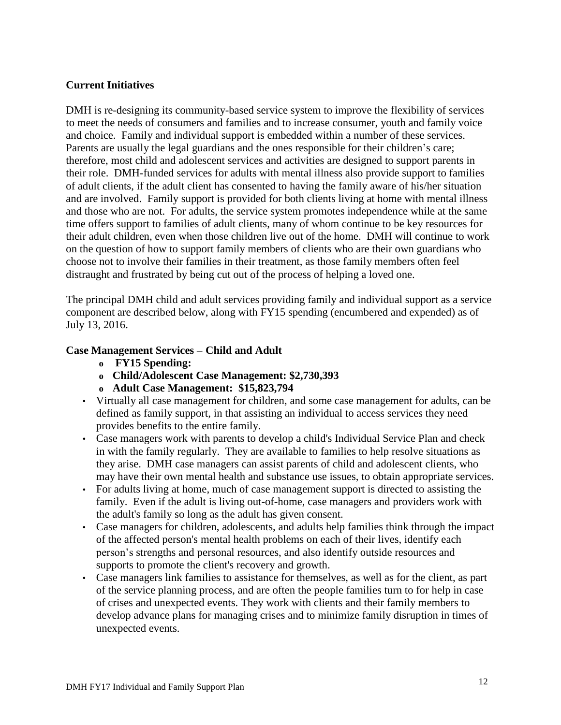#### **Current Initiatives**

DMH is re-designing its community-based service system to improve the flexibility of services to meet the needs of consumers and families and to increase consumer, youth and family voice and choice. Family and individual support is embedded within a number of these services. Parents are usually the legal guardians and the ones responsible for their children's care; therefore, most child and adolescent services and activities are designed to support parents in their role. DMH-funded services for adults with mental illness also provide support to families of adult clients, if the adult client has consented to having the family aware of his/her situation and are involved. Family support is provided for both clients living at home with mental illness and those who are not. For adults, the service system promotes independence while at the same time offers support to families of adult clients, many of whom continue to be key resources for their adult children, even when those children live out of the home. DMH will continue to work on the question of how to support family members of clients who are their own guardians who choose not to involve their families in their treatment, as those family members often feel distraught and frustrated by being cut out of the process of helping a loved one.

The principal DMH child and adult services providing family and individual support as a service component are described below, along with FY15 spending (encumbered and expended) as of July 13, 2016.

#### **Case Management Services – Child and Adult**

- **o FY15 Spending:**
- **o Child/Adolescent Case Management: \$2,730,393**
- **o Adult Case Management: \$15,823,794**
- Virtually all case management for children, and some case management for adults, can be defined as family support, in that assisting an individual to access services they need provides benefits to the entire family.
- Case managers work with parents to develop a child's Individual Service Plan and check in with the family regularly. They are available to families to help resolve situations as they arise. DMH case managers can assist parents of child and adolescent clients, who may have their own mental health and substance use issues, to obtain appropriate services.
- For adults living at home, much of case management support is directed to assisting the family. Even if the adult is living out-of-home, case managers and providers work with the adult's family so long as the adult has given consent.
- Case managers for children, adolescents, and adults help families think through the impact of the affected person's mental health problems on each of their lives, identify each person's strengths and personal resources, and also identify outside resources and supports to promote the client's recovery and growth.
- Case managers link families to assistance for themselves, as well as for the client, as part of the service planning process, and are often the people families turn to for help in case of crises and unexpected events. They work with clients and their family members to develop advance plans for managing crises and to minimize family disruption in times of unexpected events.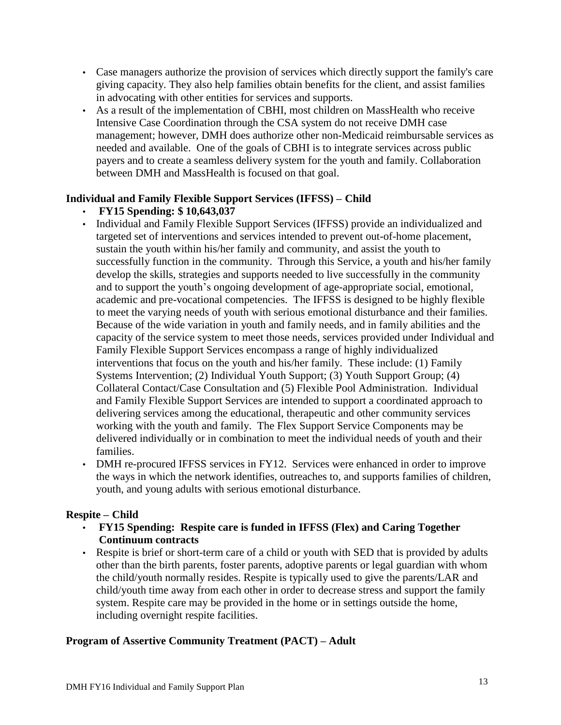- Case managers authorize the provision of services which directly support the family's care giving capacity. They also help families obtain benefits for the client, and assist families in advocating with other entities for services and supports.
- As a result of the implementation of CBHI, most children on MassHealth who receive Intensive Case Coordination through the CSA system do not receive DMH case management; however, DMH does authorize other non-Medicaid reimbursable services as needed and available. One of the goals of CBHI is to integrate services across public payers and to create a seamless delivery system for the youth and family. Collaboration between DMH and MassHealth is focused on that goal.

# **Individual and Family Flexible Support Services (IFFSS) – Child**

# • **FY15 Spending: \$ 10,643,037**

- Individual and Family Flexible Support Services (IFFSS) provide an individualized and targeted set of interventions and services intended to prevent out-of-home placement, sustain the youth within his/her family and community, and assist the youth to successfully function in the community. Through this Service, a youth and his/her family develop the skills, strategies and supports needed to live successfully in the community and to support the youth's ongoing development of age-appropriate social, emotional, academic and pre-vocational competencies. The IFFSS is designed to be highly flexible to meet the varying needs of youth with serious emotional disturbance and their families. Because of the wide variation in youth and family needs, and in family abilities and the capacity of the service system to meet those needs, services provided under Individual and Family Flexible Support Services encompass a range of highly individualized interventions that focus on the youth and his/her family. These include: (1) Family Systems Intervention; (2) Individual Youth Support; (3) Youth Support Group; (4) Collateral Contact/Case Consultation and (5) Flexible Pool Administration. Individual and Family Flexible Support Services are intended to support a coordinated approach to delivering services among the educational, therapeutic and other community services working with the youth and family. The Flex Support Service Components may be delivered individually or in combination to meet the individual needs of youth and their families.
- DMH re-procured IFFSS services in FY12. Services were enhanced in order to improve the ways in which the network identifies, outreaches to, and supports families of children, youth, and young adults with serious emotional disturbance.

# **Respite – Child**

- **FY15 Spending: Respite care is funded in IFFSS (Flex) and Caring Together Continuum contracts**
- Respite is brief or short-term care of a child or youth with SED that is provided by adults other than the birth parents, foster parents, adoptive parents or legal guardian with whom the child/youth normally resides. Respite is typically used to give the parents/LAR and child/youth time away from each other in order to decrease stress and support the family system. Respite care may be provided in the home or in settings outside the home, including overnight respite facilities.

# **Program of Assertive Community Treatment (PACT) – Adult**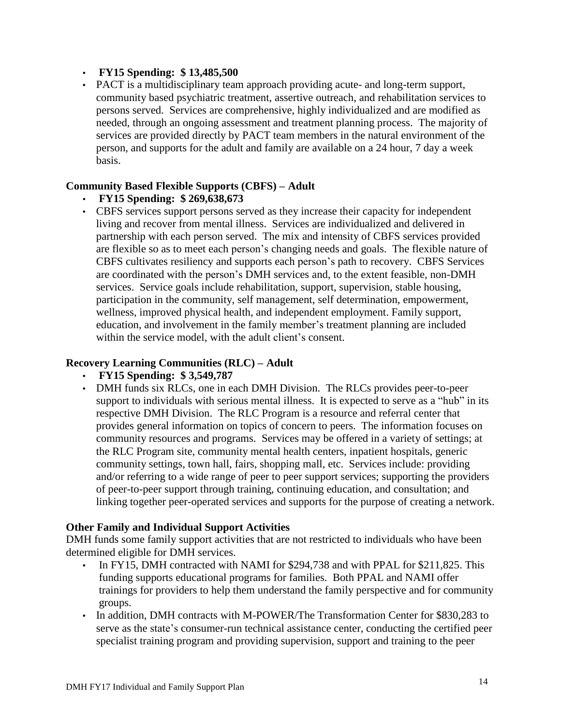#### • **FY15 Spending: \$ 13,485,500**

• PACT is a multidisciplinary team approach providing acute- and long-term support, community based psychiatric treatment, assertive outreach, and rehabilitation services to persons served. Services are comprehensive, highly individualized and are modified as needed, through an ongoing assessment and treatment planning process. The majority of services are provided directly by PACT team members in the natural environment of the person, and supports for the adult and family are available on a 24 hour, 7 day a week basis.

# **Community Based Flexible Supports (CBFS) – Adult**

- **FY15 Spending: \$ 269,638,673**
- CBFS services support persons served as they increase their capacity for independent living and recover from mental illness. Services are individualized and delivered in partnership with each person served. The mix and intensity of CBFS services provided are flexible so as to meet each person's changing needs and goals. The flexible nature of CBFS cultivates resiliency and supports each person's path to recovery. CBFS Services are coordinated with the person's DMH services and, to the extent feasible, non-DMH services. Service goals include rehabilitation, support, supervision, stable housing, participation in the community, self management, self determination, empowerment, wellness, improved physical health, and independent employment. Family support, education, and involvement in the family member's treatment planning are included within the service model, with the adult client's consent.

# **Recovery Learning Communities (RLC) – Adult**

#### • **FY15 Spending: \$ 3,549,787**

• DMH funds six RLCs, one in each DMH Division. The RLCs provides peer-to-peer support to individuals with serious mental illness. It is expected to serve as a "hub" in its respective DMH Division. The RLC Program is a resource and referral center that provides general information on topics of concern to peers. The information focuses on community resources and programs. Services may be offered in a variety of settings; at the RLC Program site, community mental health centers, inpatient hospitals, generic community settings, town hall, fairs, shopping mall, etc. Services include: providing and/or referring to a wide range of peer to peer support services; supporting the providers of peer-to-peer support through training, continuing education, and consultation; and linking together peer-operated services and supports for the purpose of creating a network.

#### **Other Family and Individual Support Activities**

DMH funds some family support activities that are not restricted to individuals who have been determined eligible for DMH services.

- In FY15, DMH contracted with NAMI for \$294,738 and with PPAL for \$211,825. This funding supports educational programs for families. Both PPAL and NAMI offer trainings for providers to help them understand the family perspective and for community groups.
- In addition, DMH contracts with M-POWER/The Transformation Center for \$830,283 to serve as the state's consumer-run technical assistance center, conducting the certified peer specialist training program and providing supervision, support and training to the peer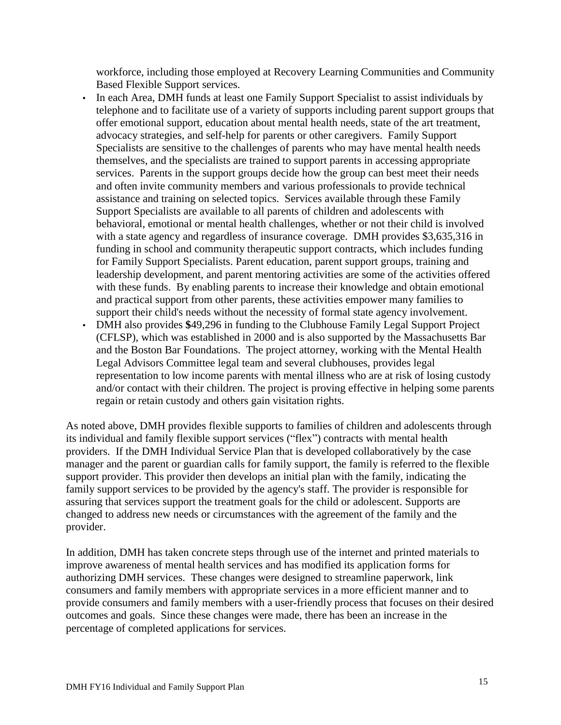workforce, including those employed at Recovery Learning Communities and Community Based Flexible Support services.

- In each Area, DMH funds at least one Family Support Specialist to assist individuals by telephone and to facilitate use of a variety of supports including parent support groups that offer emotional support, education about mental health needs, state of the art treatment, advocacy strategies, and self-help for parents or other caregivers. Family Support Specialists are sensitive to the challenges of parents who may have mental health needs themselves, and the specialists are trained to support parents in accessing appropriate services. Parents in the support groups decide how the group can best meet their needs and often invite community members and various professionals to provide technical assistance and training on selected topics. Services available through these Family Support Specialists are available to all parents of children and adolescents with behavioral, emotional or mental health challenges, whether or not their child is involved with a state agency and regardless of insurance coverage. DMH provides \$3,635,316 in funding in school and community therapeutic support contracts, which includes funding for Family Support Specialists. Parent education, parent support groups, training and leadership development, and parent mentoring activities are some of the activities offered with these funds. By enabling parents to increase their knowledge and obtain emotional and practical support from other parents, these activities empower many families to support their child's needs without the necessity of formal state agency involvement.
- DMH also provides **\$**49,296 in funding to the Clubhouse Family Legal Support Project (CFLSP), which was established in 2000 and is also supported by the Massachusetts Bar and the Boston Bar Foundations. The project attorney, working with the Mental Health Legal Advisors Committee legal team and several clubhouses, provides legal representation to low income parents with mental illness who are at risk of losing custody and/or contact with their children. The project is proving effective in helping some parents regain or retain custody and others gain visitation rights.

As noted above, DMH provides flexible supports to families of children and adolescents through its individual and family flexible support services ("flex") contracts with mental health providers. If the DMH Individual Service Plan that is developed collaboratively by the case manager and the parent or guardian calls for family support, the family is referred to the flexible support provider. This provider then develops an initial plan with the family, indicating the family support services to be provided by the agency's staff. The provider is responsible for assuring that services support the treatment goals for the child or adolescent. Supports are changed to address new needs or circumstances with the agreement of the family and the provider.

In addition, DMH has taken concrete steps through use of the internet and printed materials to improve awareness of mental health services and has modified its application forms for authorizing DMH services. These changes were designed to streamline paperwork, link consumers and family members with appropriate services in a more efficient manner and to provide consumers and family members with a user-friendly process that focuses on their desired outcomes and goals. Since these changes were made, there has been an increase in the percentage of completed applications for services.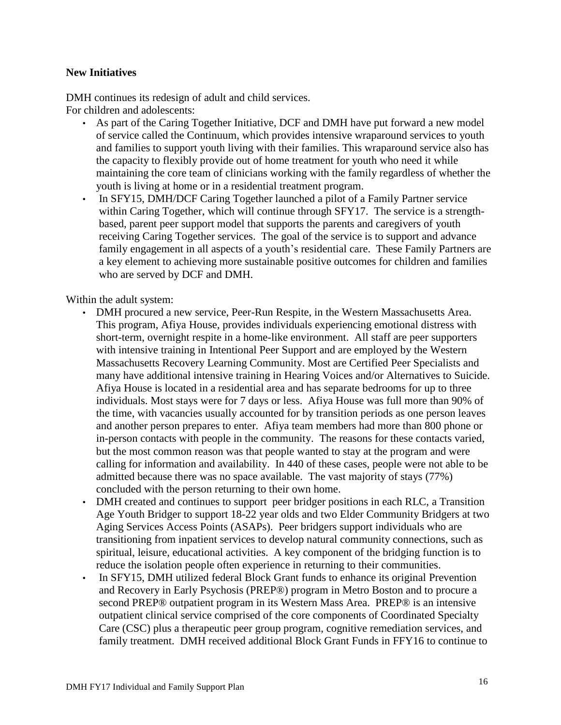#### **New Initiatives**

DMH continues its redesign of adult and child services. For children and adolescents:

- As part of the Caring Together Initiative, DCF and DMH have put forward a new model of service called the Continuum, which provides intensive wraparound services to youth and families to support youth living with their families. This wraparound service also has the capacity to flexibly provide out of home treatment for youth who need it while maintaining the core team of clinicians working with the family regardless of whether the youth is living at home or in a residential treatment program.
- In SFY15, DMH/DCF Caring Together launched a pilot of a Family Partner service within Caring Together, which will continue through SFY17. The service is a strengthbased, parent peer support model that supports the parents and caregivers of youth receiving Caring Together services. The goal of the service is to support and advance family engagement in all aspects of a youth's residential care. These Family Partners are a key element to achieving more sustainable positive outcomes for children and families who are served by DCF and DMH.

Within the adult system:

- DMH procured a new service, Peer-Run Respite, in the Western Massachusetts Area. This program, Afiya House, provides individuals experiencing emotional distress with short-term, overnight respite in a home-like environment. All staff are peer supporters with intensive training in Intentional Peer Support and are employed by the Western Massachusetts Recovery Learning Community. Most are Certified Peer Specialists and many have additional intensive training in Hearing Voices and/or Alternatives to Suicide. Afiya House is located in a residential area and has separate bedrooms for up to three individuals. Most stays were for 7 days or less. Afiya House was full more than 90% of the time, with vacancies usually accounted for by transition periods as one person leaves and another person prepares to enter. Afiya team members had more than 800 phone or in-person contacts with people in the community. The reasons for these contacts varied, but the most common reason was that people wanted to stay at the program and were calling for information and availability. In 440 of these cases, people were not able to be admitted because there was no space available. The vast majority of stays (77%) concluded with the person returning to their own home.
- DMH created and continues to support peer bridger positions in each RLC, a Transition Age Youth Bridger to support 18-22 year olds and two Elder Community Bridgers at two Aging Services Access Points (ASAPs). Peer bridgers support individuals who are transitioning from inpatient services to develop natural community connections, such as spiritual, leisure, educational activities. A key component of the bridging function is to reduce the isolation people often experience in returning to their communities.
- In SFY15, DMH utilized federal Block Grant funds to enhance its original Prevention and Recovery in Early Psychosis (PREP®) program in Metro Boston and to procure a second PREP® outpatient program in its Western Mass Area. PREP® is an intensive outpatient clinical service comprised of the core components of Coordinated Specialty Care (CSC) plus a therapeutic peer group program, cognitive remediation services, and family treatment. DMH received additional Block Grant Funds in FFY16 to continue to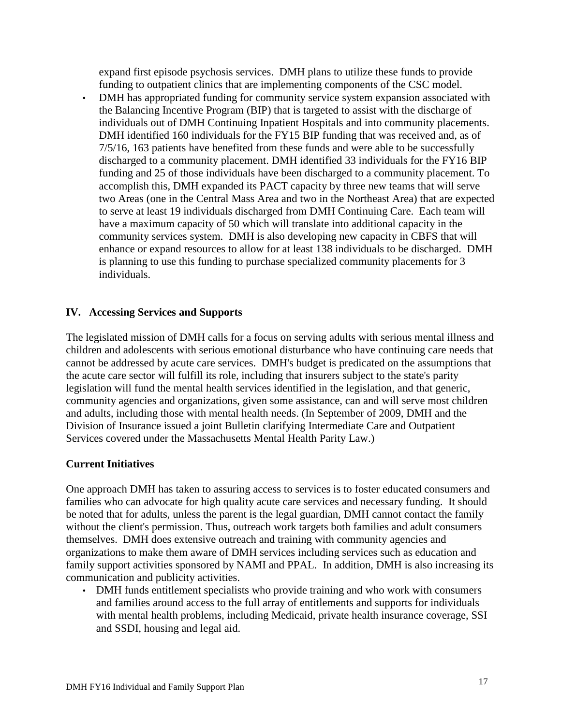expand first episode psychosis services. DMH plans to utilize these funds to provide funding to outpatient clinics that are implementing components of the CSC model.

• DMH has appropriated funding for community service system expansion associated with the Balancing Incentive Program (BIP) that is targeted to assist with the discharge of individuals out of DMH Continuing Inpatient Hospitals and into community placements. DMH identified 160 individuals for the FY15 BIP funding that was received and, as of 7/5/16, 163 patients have benefited from these funds and were able to be successfully discharged to a community placement. DMH identified 33 individuals for the FY16 BIP funding and 25 of those individuals have been discharged to a community placement. To accomplish this, DMH expanded its PACT capacity by three new teams that will serve two Areas (one in the Central Mass Area and two in the Northeast Area) that are expected to serve at least 19 individuals discharged from DMH Continuing Care. Each team will have a maximum capacity of 50 which will translate into additional capacity in the community services system. DMH is also developing new capacity in CBFS that will enhance or expand resources to allow for at least 138 individuals to be discharged. DMH is planning to use this funding to purchase specialized community placements for 3 individuals.

# **IV. Accessing Services and Supports**

The legislated mission of DMH calls for a focus on serving adults with serious mental illness and children and adolescents with serious emotional disturbance who have continuing care needs that cannot be addressed by acute care services. DMH's budget is predicated on the assumptions that the acute care sector will fulfill its role, including that insurers subject to the state's parity legislation will fund the mental health services identified in the legislation, and that generic, community agencies and organizations, given some assistance, can and will serve most children and adults, including those with mental health needs. (In September of 2009, DMH and the Division of Insurance issued a joint Bulletin clarifying Intermediate Care and Outpatient Services covered under the Massachusetts Mental Health Parity Law.)

# **Current Initiatives**

One approach DMH has taken to assuring access to services is to foster educated consumers and families who can advocate for high quality acute care services and necessary funding. It should be noted that for adults, unless the parent is the legal guardian, DMH cannot contact the family without the client's permission. Thus, outreach work targets both families and adult consumers themselves. DMH does extensive outreach and training with community agencies and organizations to make them aware of DMH services including services such as education and family support activities sponsored by NAMI and PPAL. In addition, DMH is also increasing its communication and publicity activities.

• DMH funds entitlement specialists who provide training and who work with consumers and families around access to the full array of entitlements and supports for individuals with mental health problems, including Medicaid, private health insurance coverage, SSI and SSDI, housing and legal aid.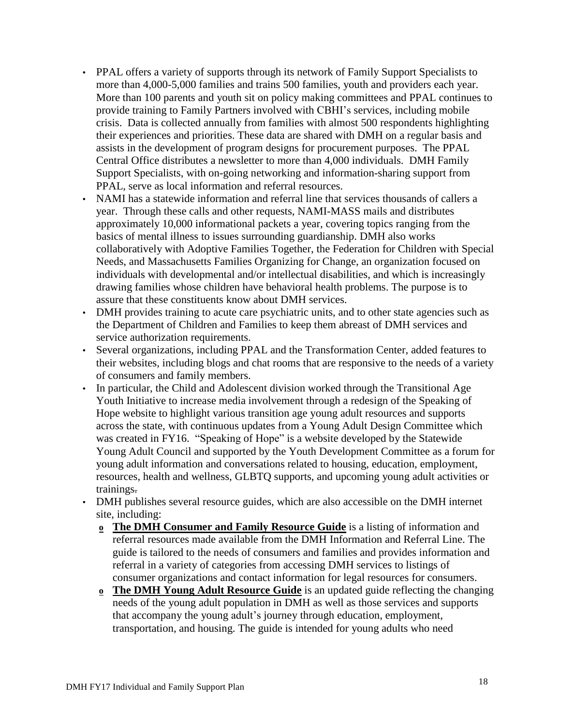- PPAL offers a variety of supports through its network of Family Support Specialists to more than 4,000-5,000 families and trains 500 families, youth and providers each year. More than 100 parents and youth sit on policy making committees and PPAL continues to provide training to Family Partners involved with CBHI's services, including mobile crisis. Data is collected annually from families with almost 500 respondents highlighting their experiences and priorities. These data are shared with DMH on a regular basis and assists in the development of program designs for procurement purposes. The PPAL Central Office distributes a newsletter to more than 4,000 individuals. DMH Family Support Specialists, with on-going networking and information-sharing support from PPAL, serve as local information and referral resources.
- NAMI has a statewide information and referral line that services thousands of callers a year. Through these calls and other requests, NAMI-MASS mails and distributes approximately 10,000 informational packets a year, covering topics ranging from the basics of mental illness to issues surrounding guardianship. DMH also works collaboratively with Adoptive Families Together, the Federation for Children with Special Needs, and Massachusetts Families Organizing for Change, an organization focused on individuals with developmental and/or intellectual disabilities, and which is increasingly drawing families whose children have behavioral health problems. The purpose is to assure that these constituents know about DMH services.
- DMH provides training to acute care psychiatric units, and to other state agencies such as the Department of Children and Families to keep them abreast of DMH services and service authorization requirements.
- Several organizations, including PPAL and the Transformation Center, added features to their websites, including blogs and chat rooms that are responsive to the needs of a variety of consumers and family members.
- In particular, the Child and Adolescent division worked through the Transitional Age Youth Initiative to increase media involvement through a redesign of the Speaking of Hope website to highlight various transition age young adult resources and supports across the state, with continuous updates from a Young Adult Design Committee which was created in FY16. "Speaking of Hope" is a website developed by the Statewide Young Adult Council and supported by the Youth Development Committee as a forum for young adult information and conversations related to housing, education, employment, resources, health and wellness, GLBTQ supports, and upcoming young adult activities or trainings.
- DMH publishes several resource guides, which are also accessible on the DMH internet site, including:
	- **o The DMH Consumer and Family Resource Guide** is a listing of information and referral resources made available from the DMH Information and Referral Line. The guide is tailored to the needs of consumers and families and provides information and referral in a variety of categories from accessing DMH services to listings of consumer organizations and contact information for legal resources for consumers.
	- **o The DMH Young Adult Resource Guide** is an updated guide reflecting the changing needs of the young adult population in DMH as well as those services and supports that accompany the young adult's journey through education, employment, transportation, and housing. The guide is intended for young adults who need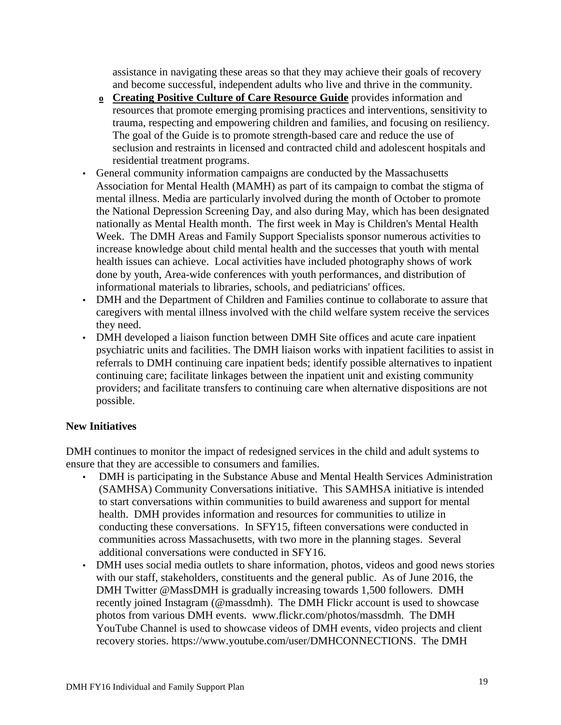assistance in navigating these areas so that they may achieve their goals of recovery and become successful, independent adults who live and thrive in the community.

- **o Creating Positive Culture of Care Resource Guide** provides information and resources that promote emerging promising practices and interventions, sensitivity to trauma, respecting and empowering children and families, and focusing on resiliency. The goal of the Guide is to promote strength-based care and reduce the use of seclusion and restraints in licensed and contracted child and adolescent hospitals and residential treatment programs.
- General community information campaigns are conducted by the Massachusetts Association for Mental Health (MAMH) as part of its campaign to combat the stigma of mental illness. Media are particularly involved during the month of October to promote the National Depression Screening Day, and also during May, which has been designated nationally as Mental Health month. The first week in May is Children's Mental Health Week. The DMH Areas and Family Support Specialists sponsor numerous activities to increase knowledge about child mental health and the successes that youth with mental health issues can achieve. Local activities have included photography shows of work done by youth, Area-wide conferences with youth performances, and distribution of informational materials to libraries, schools, and pediatricians' offices.
- DMH and the Department of Children and Families continue to collaborate to assure that caregivers with mental illness involved with the child welfare system receive the services they need.
- DMH developed a liaison function between DMH Site offices and acute care inpatient psychiatric units and facilities. The DMH liaison works with inpatient facilities to assist in referrals to DMH continuing care inpatient beds; identify possible alternatives to inpatient continuing care; facilitate linkages between the inpatient unit and existing community providers; and facilitate transfers to continuing care when alternative dispositions are not possible.

# **New Initiatives**

DMH continues to monitor the impact of redesigned services in the child and adult systems to ensure that they are accessible to consumers and families.

- DMH is participating in the Substance Abuse and Mental Health Services Administration (SAMHSA) Community Conversations initiative. This SAMHSA initiative is intended to start conversations within communities to build awareness and support for mental health. DMH provides information and resources for communities to utilize in conducting these conversations. In SFY15, fifteen conversations were conducted in communities across Massachusetts, with two more in the planning stages. Several additional conversations were conducted in SFY16.
- DMH uses social media outlets to share information, photos, videos and good news stories with our staff, stakeholders, constituents and the general public. As of June 2016, the DMH Twitter @MassDMH is gradually increasing towards 1,500 followers. DMH recently joined Instagram (@massdmh). The DMH Flickr account is used to showcase photos from various DMH events. www.flickr.com/photos/massdmh. The DMH YouTube Channel is used to showcase videos of DMH events, video projects and client recovery stories. https://www.youtube.com/user/DMHCONNECTIONS. The DMH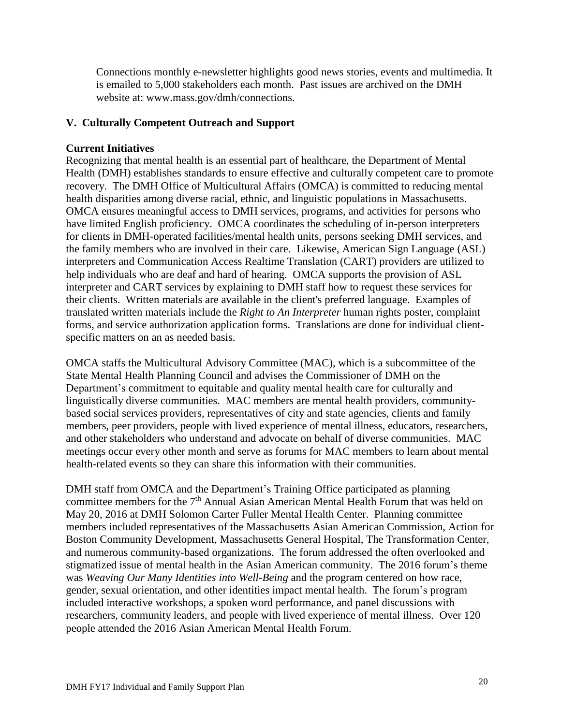Connections monthly e-newsletter highlights good news stories, events and multimedia. It is emailed to 5,000 stakeholders each month. Past issues are archived on the DMH website at: www.mass.gov/dmh/connections.

# **V. Culturally Competent Outreach and Support**

# **Current Initiatives**

Recognizing that mental health is an essential part of healthcare, the Department of Mental Health (DMH) establishes standards to ensure effective and culturally competent care to promote recovery. The DMH Office of Multicultural Affairs (OMCA) is committed to reducing mental health disparities among diverse racial, ethnic, and linguistic populations in Massachusetts. OMCA ensures meaningful access to DMH services, programs, and activities for persons who have limited English proficiency. OMCA coordinates the scheduling of in-person interpreters for clients in DMH-operated facilities/mental health units, persons seeking DMH services, and the family members who are involved in their care. Likewise, American Sign Language (ASL) interpreters and Communication Access Realtime Translation (CART) providers are utilized to help individuals who are deaf and hard of hearing. OMCA supports the provision of ASL interpreter and CART services by explaining to DMH staff how to request these services for their clients. Written materials are available in the client's preferred language. Examples of translated written materials include the *Right to An Interpreter* human rights poster, complaint forms, and service authorization application forms. Translations are done for individual clientspecific matters on an as needed basis.

OMCA staffs the Multicultural Advisory Committee (MAC), which is a subcommittee of the State Mental Health Planning Council and advises the Commissioner of DMH on the Department's commitment to equitable and quality mental health care for culturally and linguistically diverse communities. MAC members are mental health providers, communitybased social services providers, representatives of city and state agencies, clients and family members, peer providers, people with lived experience of mental illness, educators, researchers, and other stakeholders who understand and advocate on behalf of diverse communities. MAC meetings occur every other month and serve as forums for MAC members to learn about mental health-related events so they can share this information with their communities.

DMH staff from OMCA and the Department's Training Office participated as planning committee members for the 7<sup>th</sup> Annual Asian American Mental Health Forum that was held on May 20, 2016 at DMH Solomon Carter Fuller Mental Health Center. Planning committee members included representatives of the Massachusetts Asian American Commission, Action for Boston Community Development, Massachusetts General Hospital, The Transformation Center, and numerous community-based organizations. The forum addressed the often overlooked and stigmatized issue of mental health in the Asian American community. The 2016 forum's theme was *Weaving Our Many Identities into Well-Being* and the program centered on how race, gender, sexual orientation, and other identities impact mental health. The forum's program included interactive workshops, a spoken word performance, and panel discussions with researchers, community leaders, and people with lived experience of mental illness. Over 120 people attended the 2016 Asian American Mental Health Forum.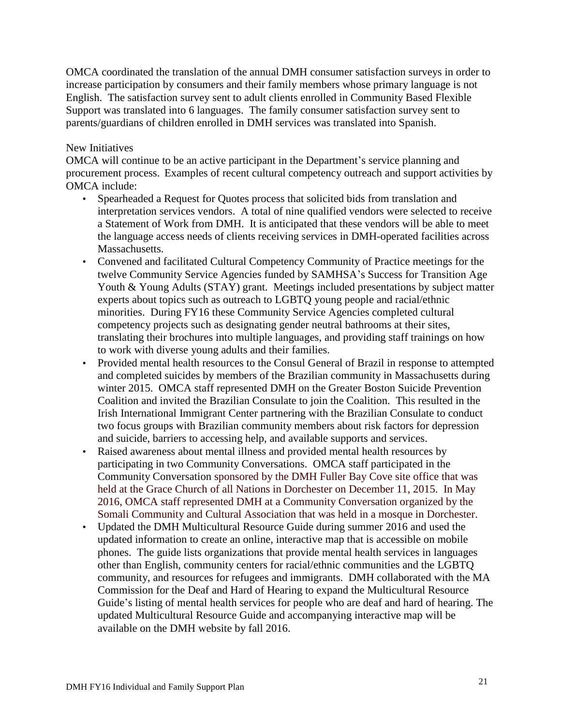OMCA coordinated the translation of the annual DMH consumer satisfaction surveys in order to increase participation by consumers and their family members whose primary language is not English. The satisfaction survey sent to adult clients enrolled in Community Based Flexible Support was translated into 6 languages. The family consumer satisfaction survey sent to parents/guardians of children enrolled in DMH services was translated into Spanish.

#### New Initiatives

OMCA will continue to be an active participant in the Department's service planning and procurement process. Examples of recent cultural competency outreach and support activities by OMCA include:

- Spearheaded a Request for Quotes process that solicited bids from translation and interpretation services vendors. A total of nine qualified vendors were selected to receive a Statement of Work from DMH. It is anticipated that these vendors will be able to meet the language access needs of clients receiving services in DMH-operated facilities across Massachusetts.
- Convened and facilitated Cultural Competency Community of Practice meetings for the twelve Community Service Agencies funded by SAMHSA's Success for Transition Age Youth & Young Adults (STAY) grant. Meetings included presentations by subject matter experts about topics such as outreach to LGBTQ young people and racial/ethnic minorities. During FY16 these Community Service Agencies completed cultural competency projects such as designating gender neutral bathrooms at their sites, translating their brochures into multiple languages, and providing staff trainings on how to work with diverse young adults and their families.
- Provided mental health resources to the Consul General of Brazil in response to attempted and completed suicides by members of the Brazilian community in Massachusetts during winter 2015. OMCA staff represented DMH on the Greater Boston Suicide Prevention Coalition and invited the Brazilian Consulate to join the Coalition. This resulted in the Irish International Immigrant Center partnering with the Brazilian Consulate to conduct two focus groups with Brazilian community members about risk factors for depression and suicide, barriers to accessing help, and available supports and services.
- Raised awareness about mental illness and provided mental health resources by participating in two Community Conversations. OMCA staff participated in the Community Conversation sponsored by the DMH Fuller Bay Cove site office that was held at the Grace Church of all Nations in Dorchester on December 11, 2015. In May 2016, OMCA staff represented DMH at a Community Conversation organized by the Somali Community and Cultural Association that was held in a mosque in Dorchester.
- Updated the DMH Multicultural Resource Guide during summer 2016 and used the updated information to create an online, interactive map that is accessible on mobile phones. The guide lists organizations that provide mental health services in languages other than English, community centers for racial/ethnic communities and the LGBTQ community, and resources for refugees and immigrants. DMH collaborated with the MA Commission for the Deaf and Hard of Hearing to expand the Multicultural Resource Guide's listing of mental health services for people who are deaf and hard of hearing. The updated Multicultural Resource Guide and accompanying interactive map will be available on the DMH website by fall 2016.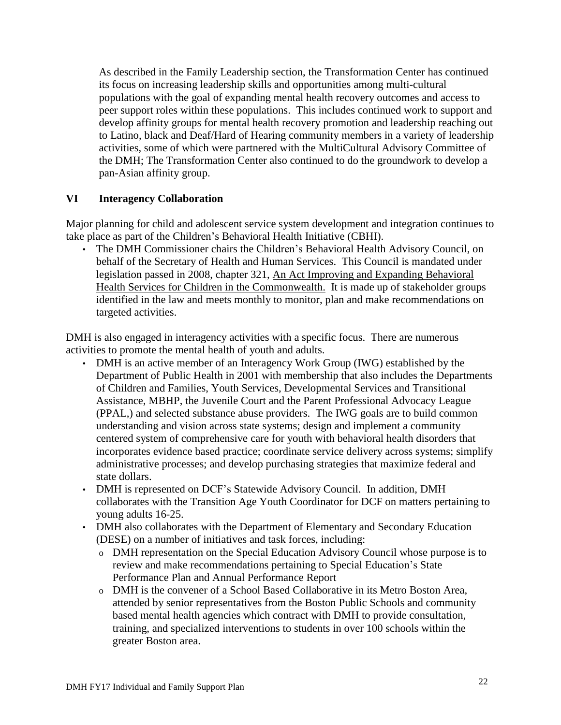As described in the Family Leadership section, the Transformation Center has continued its focus on increasing leadership skills and opportunities among multi-cultural populations with the goal of expanding mental health recovery outcomes and access to peer support roles within these populations. This includes continued work to support and develop affinity groups for mental health recovery promotion and leadership reaching out to Latino, black and Deaf/Hard of Hearing community members in a variety of leadership activities, some of which were partnered with the MultiCultural Advisory Committee of the DMH; The Transformation Center also continued to do the groundwork to develop a pan-Asian affinity group.

# **VI Interagency Collaboration**

Major planning for child and adolescent service system development and integration continues to take place as part of the Children's Behavioral Health Initiative (CBHI).

• The DMH Commissioner chairs the Children's Behavioral Health Advisory Council, on behalf of the Secretary of Health and Human Services. This Council is mandated under legislation passed in 2008, chapter 321, An Act Improving and Expanding Behavioral Health Services for Children in the Commonwealth. It is made up of stakeholder groups identified in the law and meets monthly to monitor, plan and make recommendations on targeted activities.

DMH is also engaged in interagency activities with a specific focus. There are numerous activities to promote the mental health of youth and adults.

- DMH is an active member of an Interagency Work Group (IWG) established by the Department of Public Health in 2001 with membership that also includes the Departments of Children and Families, Youth Services, Developmental Services and Transitional Assistance, MBHP, the Juvenile Court and the Parent Professional Advocacy League (PPAL,) and selected substance abuse providers. The IWG goals are to build common understanding and vision across state systems; design and implement a community centered system of comprehensive care for youth with behavioral health disorders that incorporates evidence based practice; coordinate service delivery across systems; simplify administrative processes; and develop purchasing strategies that maximize federal and state dollars.
- DMH is represented on DCF's Statewide Advisory Council. In addition, DMH collaborates with the Transition Age Youth Coordinator for DCF on matters pertaining to young adults 16-25.
- DMH also collaborates with the Department of Elementary and Secondary Education (DESE) on a number of initiatives and task forces, including:
	- o DMH representation on the Special Education Advisory Council whose purpose is to review and make recommendations pertaining to Special Education's State Performance Plan and Annual Performance Report
	- o DMH is the convener of a School Based Collaborative in its Metro Boston Area, attended by senior representatives from the Boston Public Schools and community based mental health agencies which contract with DMH to provide consultation, training, and specialized interventions to students in over 100 schools within the greater Boston area.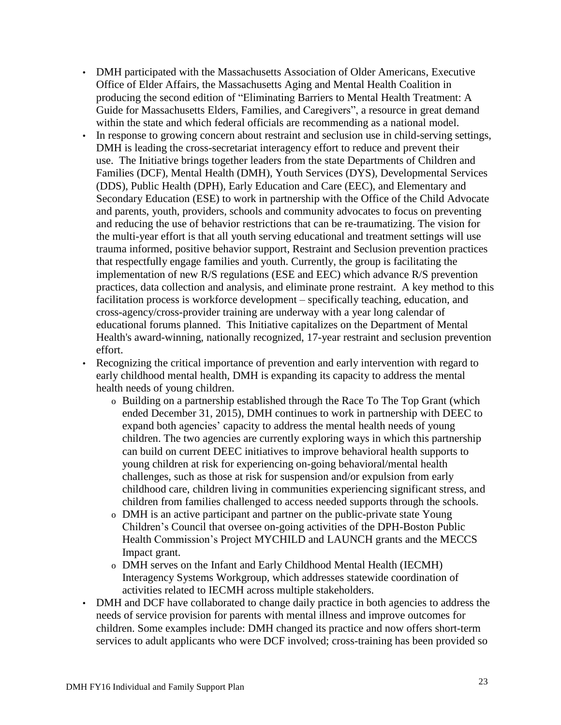- DMH participated with the Massachusetts Association of Older Americans, Executive Office of Elder Affairs, the Massachusetts Aging and Mental Health Coalition in producing the second edition of "Eliminating Barriers to Mental Health Treatment: A Guide for Massachusetts Elders, Families, and Caregivers", a resource in great demand within the state and which federal officials are recommending as a national model.
- In response to growing concern about restraint and seclusion use in child-serving settings, DMH is leading the cross-secretariat interagency effort to reduce and prevent their use. The Initiative brings together leaders from the state Departments of Children and Families (DCF), Mental Health (DMH), Youth Services (DYS), Developmental Services (DDS), Public Health (DPH), Early Education and Care (EEC), and Elementary and Secondary Education (ESE) to work in partnership with the Office of the Child Advocate and parents, youth, providers, schools and community advocates to focus on preventing and reducing the use of behavior restrictions that can be re-traumatizing. The vision for the multi-year effort is that all youth serving educational and treatment settings will use trauma informed, positive behavior support, Restraint and Seclusion prevention practices that respectfully engage families and youth. Currently, the group is facilitating the implementation of new R/S regulations (ESE and EEC) which advance R/S prevention practices, data collection and analysis, and eliminate prone restraint. A key method to this facilitation process is workforce development – specifically teaching, education, and cross-agency/cross-provider training are underway with a year long calendar of educational forums planned. This Initiative capitalizes on the Department of Mental Health's award-winning, nationally recognized, 17-year restraint and seclusion prevention effort.

• Recognizing the critical importance of prevention and early intervention with regard to early childhood mental health, DMH is expanding its capacity to address the mental health needs of young children.

- o Building on a partnership established through the Race To The Top Grant (which ended December 31, 2015), DMH continues to work in partnership with DEEC to expand both agencies' capacity to address the mental health needs of young children. The two agencies are currently exploring ways in which this partnership can build on current DEEC initiatives to improve behavioral health supports to young children at risk for experiencing on-going behavioral/mental health challenges, such as those at risk for suspension and/or expulsion from early childhood care, children living in communities experiencing significant stress, and children from families challenged to access needed supports through the schools.
- o DMH is an active participant and partner on the public-private state Young Children's Council that oversee on-going activities of the DPH-Boston Public Health Commission's Project MYCHILD and LAUNCH grants and the MECCS Impact grant.
- o DMH serves on the Infant and Early Childhood Mental Health (IECMH) Interagency Systems Workgroup, which addresses statewide coordination of activities related to IECMH across multiple stakeholders.
- DMH and DCF have collaborated to change daily practice in both agencies to address the needs of service provision for parents with mental illness and improve outcomes for children. Some examples include: DMH changed its practice and now offers short-term services to adult applicants who were DCF involved; cross-training has been provided so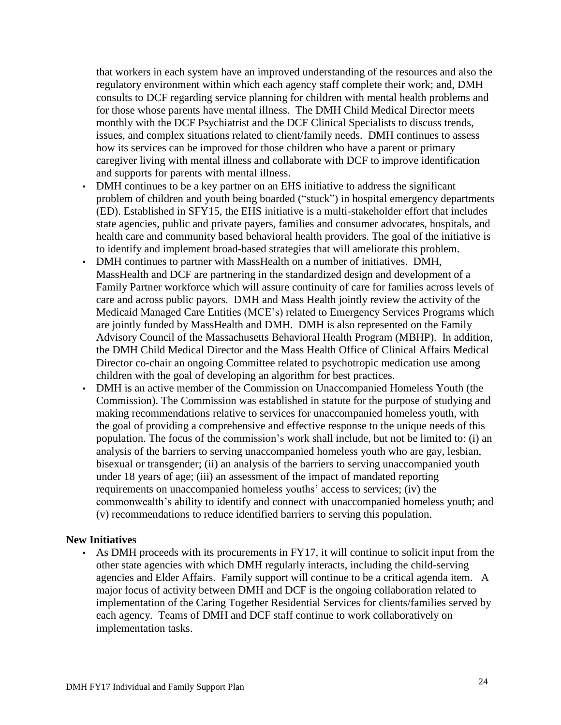that workers in each system have an improved understanding of the resources and also the regulatory environment within which each agency staff complete their work; and, DMH consults to DCF regarding service planning for children with mental health problems and for those whose parents have mental illness. The DMH Child Medical Director meets monthly with the DCF Psychiatrist and the DCF Clinical Specialists to discuss trends, issues, and complex situations related to client/family needs. DMH continues to assess how its services can be improved for those children who have a parent or primary caregiver living with mental illness and collaborate with DCF to improve identification and supports for parents with mental illness.

- DMH continues to be a key partner on an EHS initiative to address the significant problem of children and youth being boarded ("stuck") in hospital emergency departments (ED). Established in SFY15, the EHS initiative is a multi-stakeholder effort that includes state agencies, public and private payers, families and consumer advocates, hospitals, and health care and community based behavioral health providers. The goal of the initiative is to identify and implement broad-based strategies that will ameliorate this problem.
- DMH continues to partner with MassHealth on a number of initiatives. DMH, MassHealth and DCF are partnering in the standardized design and development of a Family Partner workforce which will assure continuity of care for families across levels of care and across public payors. DMH and Mass Health jointly review the activity of the Medicaid Managed Care Entities (MCE's) related to Emergency Services Programs which are jointly funded by MassHealth and DMH. DMH is also represented on the Family Advisory Council of the Massachusetts Behavioral Health Program (MBHP). In addition, the DMH Child Medical Director and the Mass Health Office of Clinical Affairs Medical Director co-chair an ongoing Committee related to psychotropic medication use among children with the goal of developing an algorithm for best practices.
- DMH is an active member of the Commission on Unaccompanied Homeless Youth (the Commission). The Commission was established in statute for the purpose of studying and making recommendations relative to services for unaccompanied homeless youth, with the goal of providing a comprehensive and effective response to the unique needs of this population. The focus of the commission's work shall include, but not be limited to: (i) an analysis of the barriers to serving unaccompanied homeless youth who are gay, lesbian, bisexual or transgender; (ii) an analysis of the barriers to serving unaccompanied youth under 18 years of age; (iii) an assessment of the impact of mandated reporting requirements on unaccompanied homeless youths' access to services; (iv) the commonwealth's ability to identify and connect with unaccompanied homeless youth; and (v) recommendations to reduce identified barriers to serving this population.

#### **New Initiatives**

As DMH proceeds with its procurements in FY17, it will continue to solicit input from the other state agencies with which DMH regularly interacts, including the child-serving agencies and Elder Affairs. Family support will continue to be a critical agenda item. A major focus of activity between DMH and DCF is the ongoing collaboration related to implementation of the Caring Together Residential Services for clients/families served by each agency. Teams of DMH and DCF staff continue to work collaboratively on implementation tasks.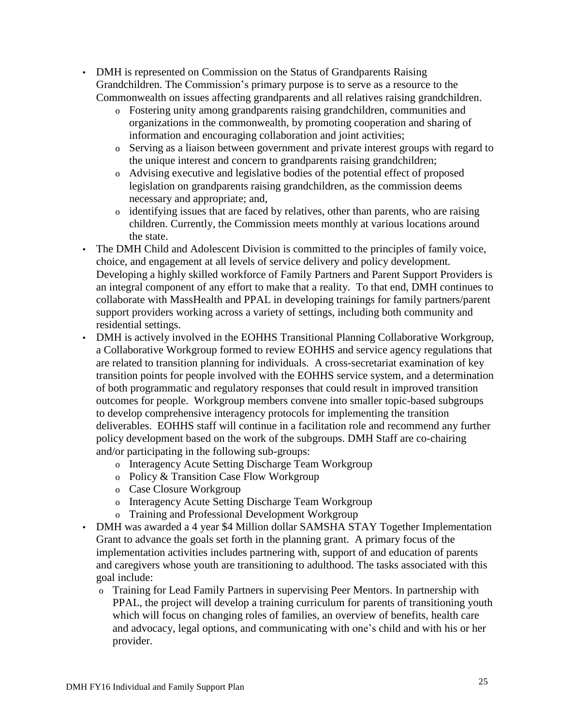- DMH is represented on Commission on the Status of Grandparents Raising Grandchildren. The Commission's primary purpose is to serve as a resource to the Commonwealth on issues affecting grandparents and all relatives raising grandchildren.
	- o Fostering unity among grandparents raising grandchildren, communities and organizations in the commonwealth, by promoting cooperation and sharing of information and encouraging collaboration and joint activities;
	- o Serving as a liaison between government and private interest groups with regard to the unique interest and concern to grandparents raising grandchildren;
	- o Advising executive and legislative bodies of the potential effect of proposed legislation on grandparents raising grandchildren, as the commission deems necessary and appropriate; and,
	- o identifying issues that are faced by relatives, other than parents, who are raising children. Currently, the Commission meets monthly at various locations around the state.
- The DMH Child and Adolescent Division is committed to the principles of family voice, choice, and engagement at all levels of service delivery and policy development. Developing a highly skilled workforce of Family Partners and Parent Support Providers is an integral component of any effort to make that a reality. To that end, DMH continues to collaborate with MassHealth and PPAL in developing trainings for family partners/parent support providers working across a variety of settings, including both community and residential settings.
- DMH is actively involved in the EOHHS Transitional Planning Collaborative Workgroup, a Collaborative Workgroup formed to review EOHHS and service agency regulations that are related to transition planning for individuals. A cross-secretariat examination of key transition points for people involved with the EOHHS service system, and a determination of both programmatic and regulatory responses that could result in improved transition outcomes for people. Workgroup members convene into smaller topic-based subgroups to develop comprehensive interagency protocols for implementing the transition deliverables. EOHHS staff will continue in a facilitation role and recommend any further policy development based on the work of the subgroups. DMH Staff are co-chairing and/or participating in the following sub-groups:
	- o Interagency Acute Setting Discharge Team Workgroup
	- o Policy & Transition Case Flow Workgroup
	- o Case Closure Workgroup
	- o Interagency Acute Setting Discharge Team Workgroup
	- o Training and Professional Development Workgroup
- DMH was awarded a 4 year \$4 Million dollar SAMSHA STAY Together Implementation Grant to advance the goals set forth in the planning grant. A primary focus of the implementation activities includes partnering with, support of and education of parents and caregivers whose youth are transitioning to adulthood. The tasks associated with this goal include:
	- o Training for Lead Family Partners in supervising Peer Mentors. In partnership with PPAL, the project will develop a training curriculum for parents of transitioning youth which will focus on changing roles of families, an overview of benefits, health care and advocacy, legal options, and communicating with one's child and with his or her provider.